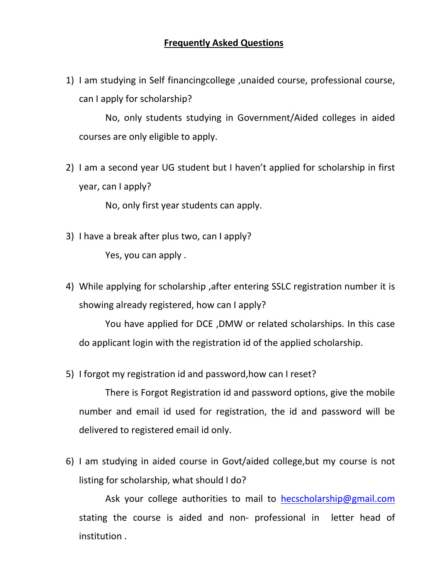1) I am studying in Self financingcollege ,unaided course, professional course, can I apply for scholarship?

No, only students studying in Government/Aided colleges in aided courses are only eligible to apply.

2) I am a second year UG student but I haven't applied for scholarship in first year, can I apply?

No, only first year students can apply.

- 3) I have a break after plus two, can I apply? Yes, you can apply .
- 4) While applying for scholarship ,after entering SSLC registration number it is showing already registered, how can I apply?

You have applied for DCE ,DMW or related scholarships. In this case do applicant login with the registration id of the applied scholarship.

5) I forgot my registration id and password,how can I reset?

There is Forgot Registration id and password options, give the mobile number and email id used for registration, the id and password will be delivered to registered email id only.

6) I am studying in aided course in Govt/aided college,but my course is not listing for scholarship, what should I do?

Ask your college authorities to mail to [hecscholarship@gmail.com](mailto:hecscholarship@gmail.com) stating the course is aided and non- professional in letter head of institution .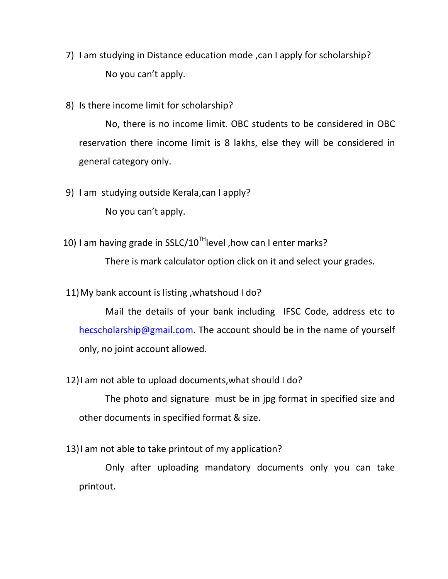- 7) I am studying in Distance education mode ,can I apply for scholarship? No you can't apply.
- 8) Is there income limit for scholarship?

No, there is no income limit. OBC students to be considered in OBC reservation there income limit is 8 lakhs, else they will be considered in general category only.

9) I am studying outside Kerala,can I apply?

No you can't apply.

10) I am having grade in SSLC/10<sup>TH</sup> level, how can I enter marks?

There is mark calculator option click on it and select your grades.

11)My bank account is listing ,whatshoud I do?

Mail the details of your bank including IFSC Code, address etc to [hecscholarship@gmail.com.](mailto:hecscholarship@gmail.com) The account should be in the name of yourself only, no joint account allowed.

12)I am not able to upload documents,what should I do?

The photo and signature must be in jpg format in specified size and other documents in specified format & size.

13)I am not able to take printout of my application?

Only after uploading mandatory documents only you can take printout.